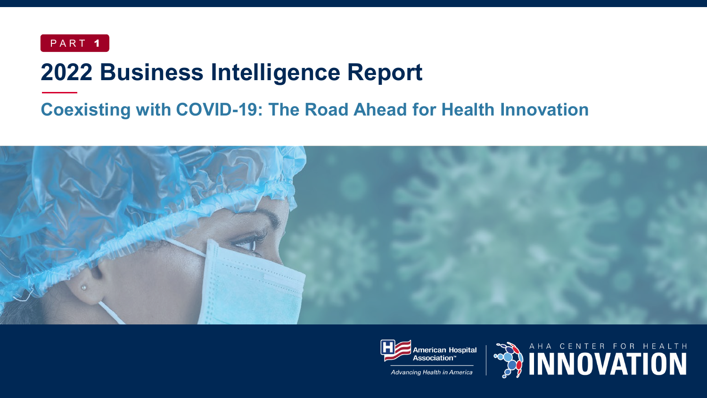

## **2022 Business Intelligence Report**

### **Coexisting with COVID-19: The Road Ahead for Health Innovation**





Advancing Health in America

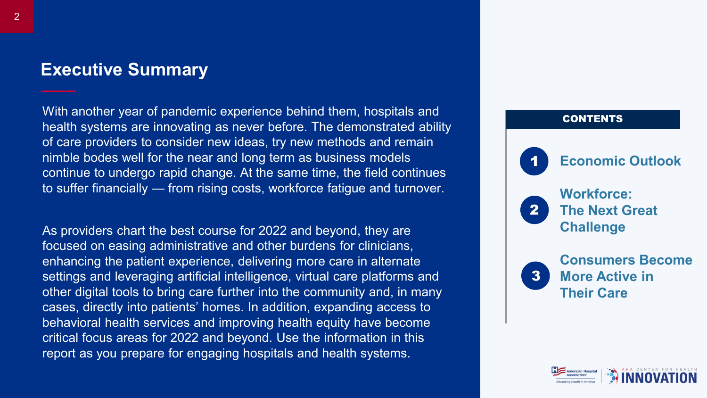#### **Executive Summary**

With another year of pandemic experience behind them, hospitals and health systems are innovating as never before. The demonstrated ability of care providers to consider new ideas, try new methods and remain nimble bodes well for the near and long term as business models continue to undergo rapid change. At the same time, the field continues to suffer financially — from rising costs, workforce fatigue and turnover.

As providers chart the best course for 2022 and beyond, they are focused on easing administrative and other burdens for clinicians, enhancing the patient experience, delivering more care in alternate settings and leveraging artificial intelligence, virtual care platforms and other digital tools to bring care further into the community and, in many cases, directly into patients' homes. In addition, expanding access to behavioral health services and improving health equity have become critical focus areas for 2022 and beyond. Use the information in this report as you prepare for engaging hospitals and health systems.



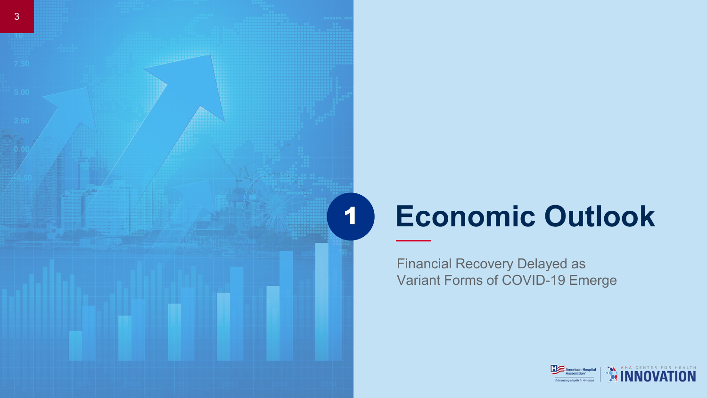

Financial Recovery Delayed as Variant Forms of COVID-19 Emerge

1

3

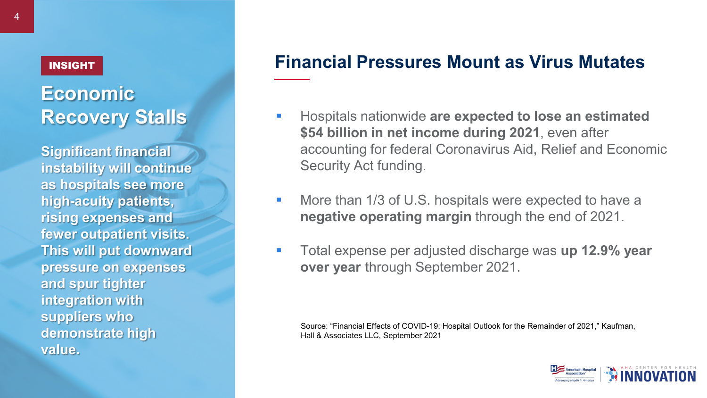#### INSIGHT

### **Economic Recovery Stalls**

**Significant financial instability will continue as hospitals see more high-acuity patients, rising expenses and fewer outpatient visits. This will put downward pressure on expenses and spur tighter integration with suppliers who demonstrate high value.**

#### **Financial Pressures Mount as Virus Mutates**

- **Hospitals nationwide are expected to lose an estimated \$54 billion in net income during 2021**, even after accounting for federal Coronavirus Aid, Relief and Economic Security Act funding.
- **More than 1/3 of U.S. hospitals were expected to have a negative operating margin** through the end of 2021.
- Total expense per adjusted discharge was **up 12.9% year over year** through September 2021.

Source: "Financial Effects of COVID-19: Hospital Outlook for the Remainder of 2021," Kaufman, Hall & Associates LLC, September 2021

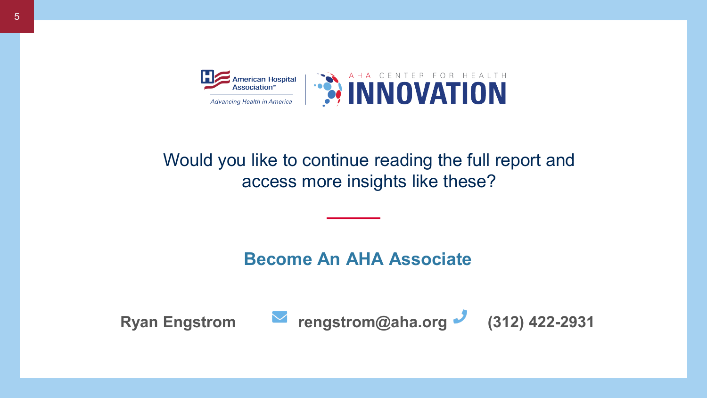

### Would you like to continue reading the full report and access more insights like these?

**Become An AHA Associate**